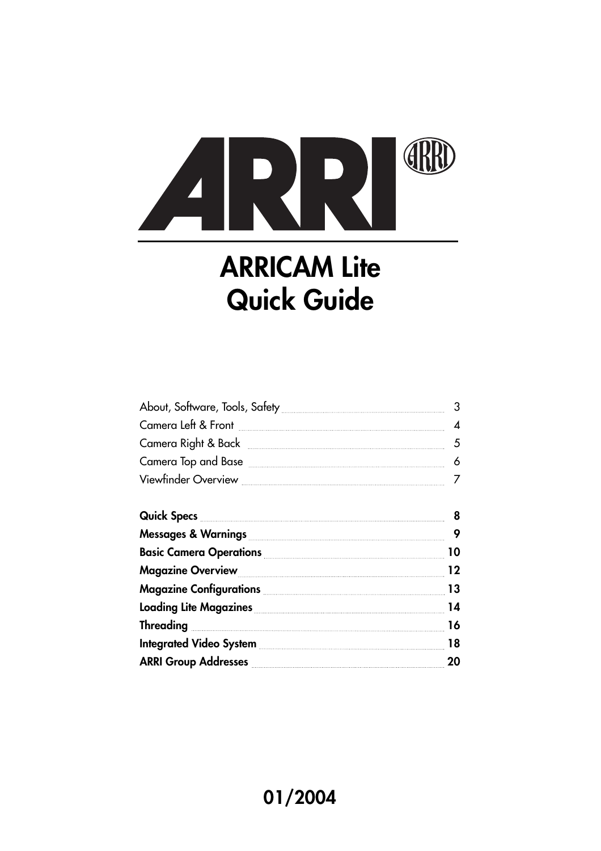# 4RR

# **ARRICAM Lite Quick Guide**

|                                                                                                                | $\overline{\mathbf{3}}$ |
|----------------------------------------------------------------------------------------------------------------|-------------------------|
|                                                                                                                | $\overline{4}$          |
|                                                                                                                | - 5                     |
|                                                                                                                |                         |
|                                                                                                                |                         |
|                                                                                                                | 8                       |
|                                                                                                                | 9                       |
| Basic Camera Operations <b>Communist Camera</b> Operations and Communist Camera Operations                     | 10                      |
| Magazine Overview Electron Construction of the Construction of the Construction of the Construction of the Con | 12                      |
|                                                                                                                | 13                      |
|                                                                                                                | 14                      |
|                                                                                                                | 16                      |

**[Integrated Video System 18](#page-17-0) [ARRI Group Addresses 20](#page-19-0)**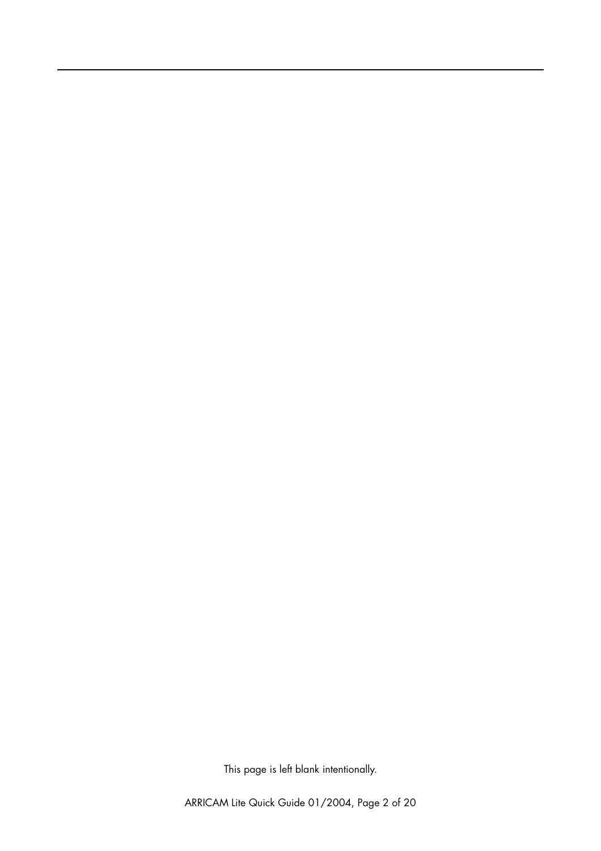This page is left blank intentionally.

ARRICAM Lite Quick Guide 01/2004, Page 2 of 20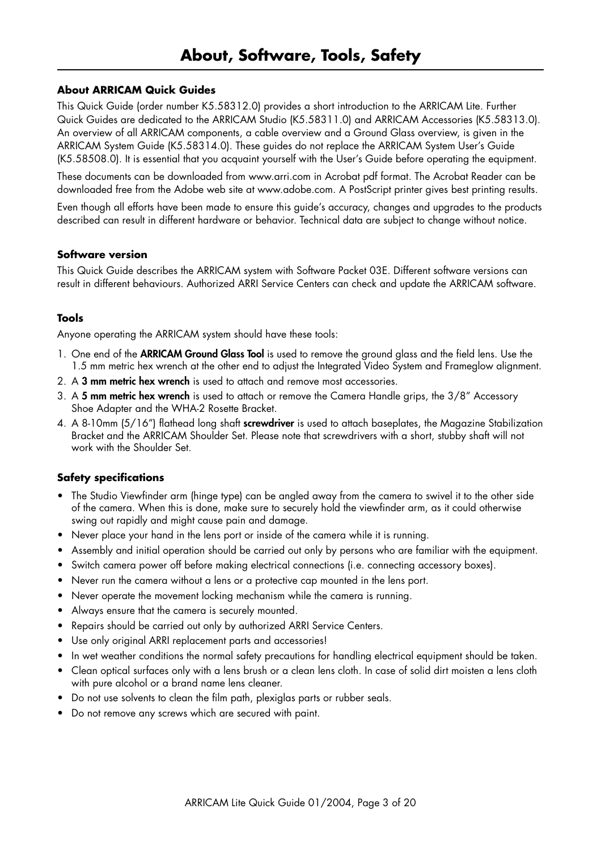### <span id="page-2-0"></span>**About ARRICAM Quick Guides**

This Quick Guide (order number K5.58312.0) provides a short introduction to the ARRICAM Lite. Further Quick Guides are dedicated to the ARRICAM Studio (K5.58311.0) and ARRICAM Accessories (K5.58313.0). An overview of all ARRICAM components, a cable overview and a Ground Glass overview, is given in the ARRICAM System Guide (K5.58314.0). These guides do not replace the ARRICAM System User's Guide (K5.58508.0). It is essential that you acquaint yourself with the User's Guide before operating the equipment.

These documents can be downloaded from www.arri.com in Acrobat pdf format. The Acrobat Reader can be downloaded free from the Adobe web site at www.adobe.com. A PostScript printer gives best printing results.

Even though all efforts have been made to ensure this guide's accuracy, changes and upgrades to the products described can result in different hardware or behavior. Technical data are subject to change without notice.

### **Software version**

This Quick Guide describes the ARRICAM system with Software Packet 03E. Different software versions can result in different behaviours. Authorized ARRI Service Centers can check and update the ARRICAM software.

### **Tools**

Anyone operating the ARRICAM system should have these tools:

- 1. One end of the **ARRICAM Ground Glass Tool** is used to remove the ground glass and the field lens. Use the 1.5 mm metric hex wrench at the other end to adjust the Integrated Video System and Frameglow alignment.
- 2. A **3 mm metric hex wrench** is used to attach and remove most accessories.
- 3. A **5 mm metric hex wrench** is used to attach or remove the Camera Handle grips, the 3/8" Accessory Shoe Adapter and the WHA-2 Rosette Bracket.
- 4. A 8-10mm (5/16") flathead long shaft **screwdriver** is used to attach baseplates, the Magazine Stabilization Bracket and the ARRICAM Shoulder Set. Please note that screwdrivers with a short, stubby shaft will not work with the Shoulder Set.

### **Safety specifications**

- The Studio Viewfinder arm (hinge type) can be angled away from the camera to swivel it to the other side of the camera. When this is done, make sure to securely hold the viewfinder arm, as it could otherwise swing out rapidly and might cause pain and damage.
- Never place your hand in the lens port or inside of the camera while it is running.
- Assembly and initial operation should be carried out only by persons who are familiar with the equipment.
- Switch camera power off before making electrical connections (i.e. connecting accessory boxes).
- Never run the camera without a lens or a protective cap mounted in the lens port.
- Never operate the movement locking mechanism while the camera is running.
- Always ensure that the camera is securely mounted.
- Repairs should be carried out only by authorized ARRI Service Centers.
- Use only original ARRI replacement parts and accessories!
- In wet weather conditions the normal safety precautions for handling electrical equipment should be taken.
- Clean optical surfaces only with a lens brush or a clean lens cloth. In case of solid dirt moisten a lens cloth with pure alcohol or a brand name lens cleaner.
- Do not use solvents to clean the film path, plexiglas parts or rubber seals.
- Do not remove any screws which are secured with paint.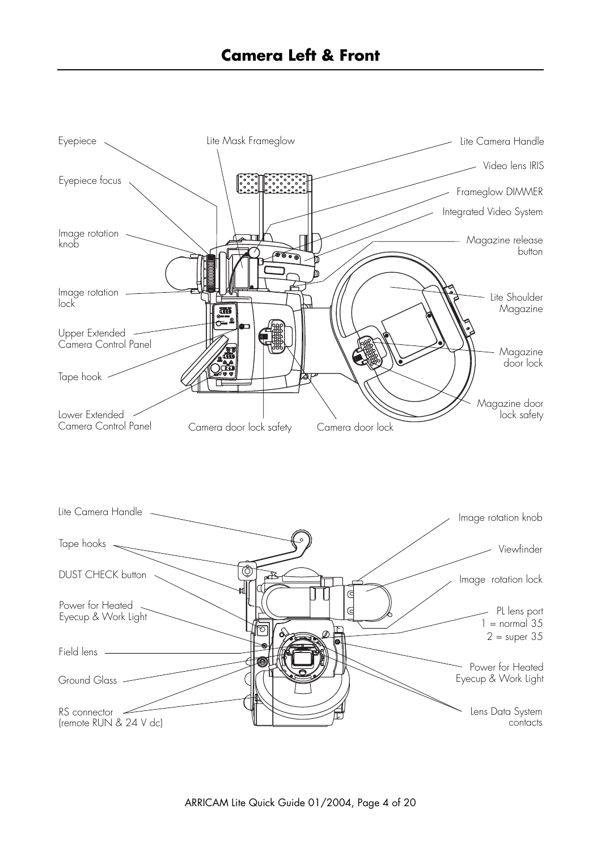<span id="page-3-0"></span>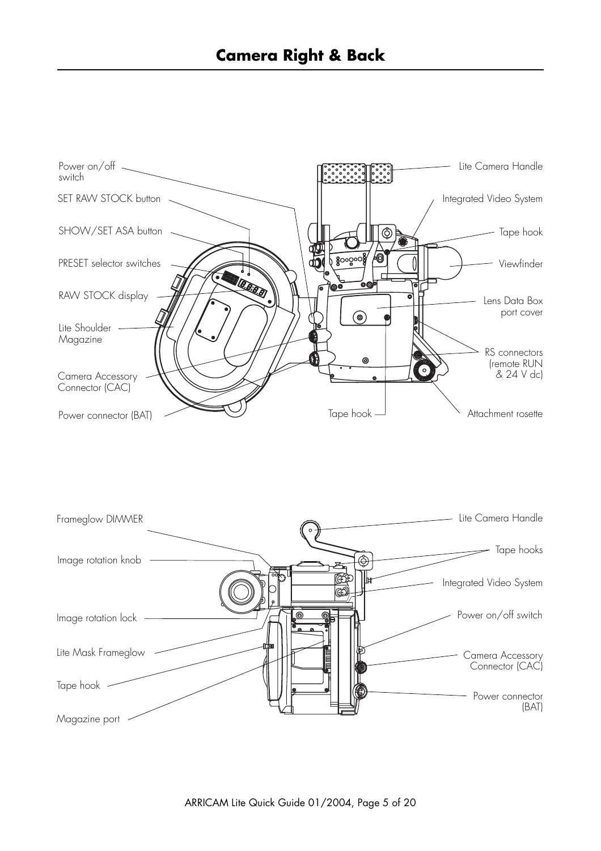<span id="page-4-0"></span>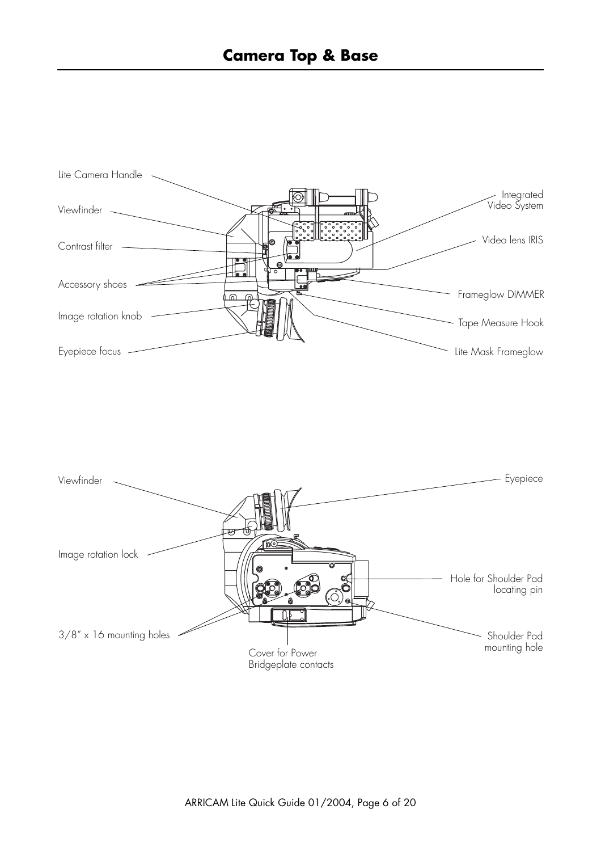<span id="page-5-0"></span>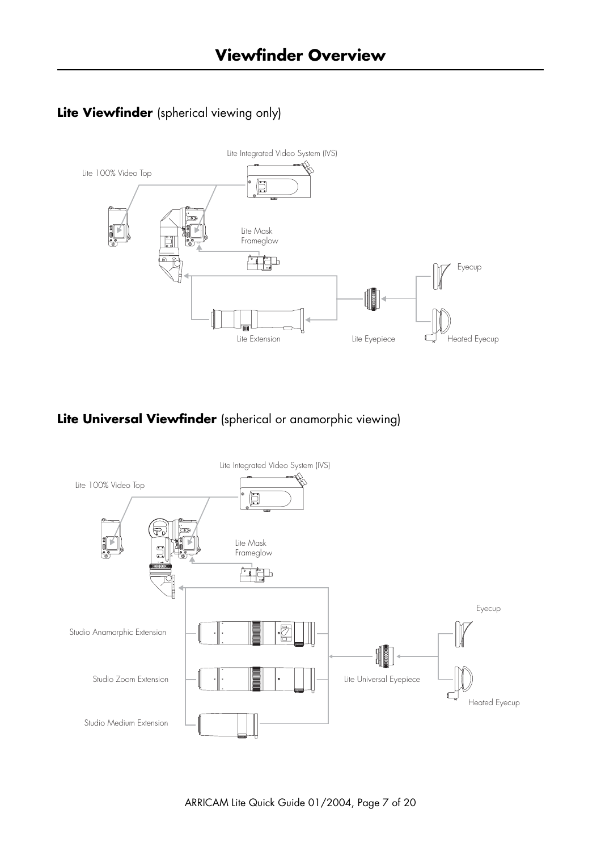## <span id="page-6-0"></span>Lite Viewfinder (spherical viewing only)



### Lite Universal Viewfinder (spherical or anamorphic viewing)

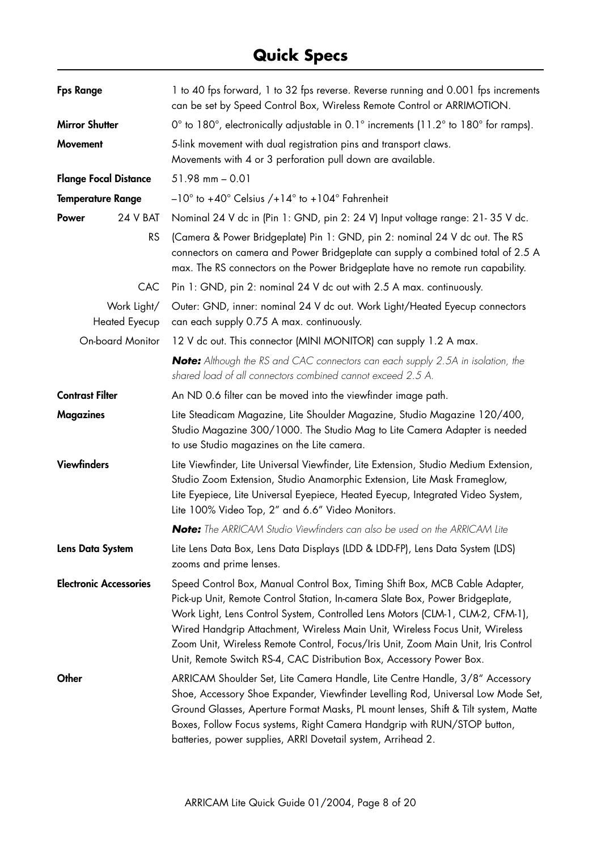# **Quick Specs**

<span id="page-7-0"></span>

| <b>Fps Range</b>              | 1 to 40 fps forward, 1 to 32 fps reverse. Reverse running and 0.001 fps increments<br>can be set by Speed Control Box, Wireless Remote Control or ARRIMOTION.                                                                                                                                                                                                                                                                                                                               |
|-------------------------------|---------------------------------------------------------------------------------------------------------------------------------------------------------------------------------------------------------------------------------------------------------------------------------------------------------------------------------------------------------------------------------------------------------------------------------------------------------------------------------------------|
| <b>Mirror Shutter</b>         | 0° to 180°, electronically adjustable in 0.1° increments (11.2° to 180° for ramps).                                                                                                                                                                                                                                                                                                                                                                                                         |
| <b>Movement</b>               | 5-link movement with dual registration pins and transport claws.<br>Movements with 4 or 3 perforation pull down are available.                                                                                                                                                                                                                                                                                                                                                              |
| <b>Flange Focal Distance</b>  | $51.98$ mm $- 0.01$                                                                                                                                                                                                                                                                                                                                                                                                                                                                         |
| <b>Temperature Range</b>      | $-10^{\circ}$ to +40° Celsius /+14° to +104° Fahrenheit                                                                                                                                                                                                                                                                                                                                                                                                                                     |
| 24 V BAT<br>Power             | Nominal 24 V dc in (Pin 1: GND, pin 2: 24 V) Input voltage range: 21-35 V dc.                                                                                                                                                                                                                                                                                                                                                                                                               |
| <b>RS</b>                     | (Camera & Power Bridgeplate) Pin 1: GND, pin 2: nominal 24 V dc out. The RS<br>connectors on camera and Power Bridgeplate can supply a combined total of 2.5 A<br>max. The RS connectors on the Power Bridgeplate have no remote run capability.                                                                                                                                                                                                                                            |
| <b>CAC</b>                    | Pin 1: GND, pin 2: nominal 24 V dc out with 2.5 A max. continuously.                                                                                                                                                                                                                                                                                                                                                                                                                        |
| Work Light/<br>Heated Eyecup  | Outer: GND, inner: nominal 24 V dc out. Work Light/Heated Eyecup connectors<br>can each supply 0.75 A max. continuously.                                                                                                                                                                                                                                                                                                                                                                    |
| On-board Monitor              | 12 V dc out. This connector (MINI MONITOR) can supply 1.2 A max.                                                                                                                                                                                                                                                                                                                                                                                                                            |
|                               | <b>Note:</b> Although the RS and CAC connectors can each supply 2.5A in isolation, the<br>shared load of all connectors combined cannot exceed 2.5 A.                                                                                                                                                                                                                                                                                                                                       |
| <b>Contrast Filter</b>        | An ND 0.6 filter can be moved into the viewfinder image path.                                                                                                                                                                                                                                                                                                                                                                                                                               |
| <b>Magazines</b>              | Lite Steadicam Magazine, Lite Shoulder Magazine, Studio Magazine 120/400,<br>Studio Magazine 300/1000. The Studio Mag to Lite Camera Adapter is needed<br>to use Studio magazines on the Lite camera.                                                                                                                                                                                                                                                                                       |
| <b>Viewfinders</b>            | Lite Viewfinder, Lite Universal Viewfinder, Lite Extension, Studio Medium Extension,<br>Studio Zoom Extension, Studio Anamorphic Extension, Lite Mask Frameglow,<br>Lite Eyepiece, Lite Universal Eyepiece, Heated Eyecup, Integrated Video System,<br>Lite 100% Video Top, 2" and 6.6" Video Monitors.                                                                                                                                                                                     |
|                               | Note: The ARRICAM Studio Viewfinders can also be used on the ARRICAM Lite                                                                                                                                                                                                                                                                                                                                                                                                                   |
| <b>Lens Data System</b>       | Lite Lens Data Box, Lens Data Displays (LDD & LDD-FP), Lens Data System (LDS)<br>zooms and prime lenses.                                                                                                                                                                                                                                                                                                                                                                                    |
| <b>Electronic Accessories</b> | Speed Control Box, Manual Control Box, Timing Shift Box, MCB Cable Adapter,<br>Pick-up Unit, Remote Control Station, In-camera Slate Box, Power Bridgeplate,<br>Work Light, Lens Control System, Controlled Lens Motors (CLM-1, CLM-2, CFM-1),<br>Wired Handgrip Attachment, Wireless Main Unit, Wireless Focus Unit, Wireless<br>Zoom Unit, Wireless Remote Control, Focus/Iris Unit, Zoom Main Unit, Iris Control<br>Unit, Remote Switch RS-4, CAC Distribution Box, Accessory Power Box. |
| Other                         | ARRICAM Shoulder Set, Lite Camera Handle, Lite Centre Handle, 3/8" Accessory<br>Shoe, Accessory Shoe Expander, Viewfinder Levelling Rod, Universal Low Mode Set,<br>Ground Glasses, Aperture Format Masks, PL mount lenses, Shift & Tilt system, Matte<br>Boxes, Follow Focus systems, Right Camera Handgrip with RUN/STOP button,<br>batteries, power supplies, ARRI Dovetail system, Arrihead 2.                                                                                          |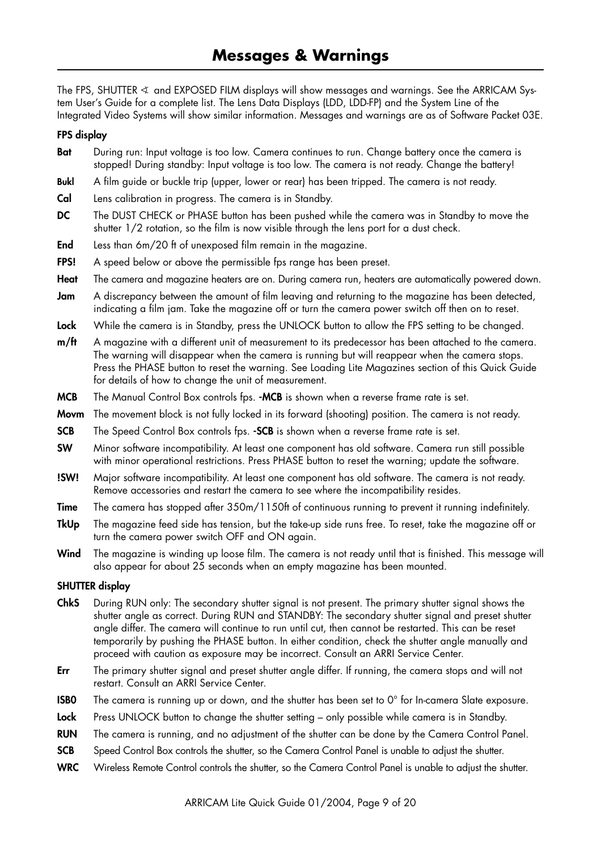<span id="page-8-0"></span>The FPS, SHUTTER  $\triangleleft$  and EXPOSED FILM displays will show messages and warnings. See the ARRICAM System User's Guide for a complete list. The Lens Data Displays (LDD, LDD-FP) and the System Line of the Integrated Video Systems will show similar information. Messages and warnings are as of Software Packet 03E.

### **FPS display**

- **Bat** During run: Input voltage is too low. Camera continues to run. Change battery once the camera is stopped! During standby: Input voltage is too low. The camera is not ready. Change the battery!
- **Bukl** A film guide or buckle trip (upper, lower or rear) has been tripped. The camera is not ready.
- **Cal** Lens calibration in progress. The camera is in Standby.
- **DC** The DUST CHECK or PHASE button has been pushed while the camera was in Standby to move the shutter 1/2 rotation, so the film is now visible through the lens port for a dust check.
- **End** Less than 6m/20 ft of unexposed film remain in the magazine.
- **FPS!** A speed below or above the permissible fps range has been preset.
- **Heat** The camera and magazine heaters are on. During camera run, heaters are automatically powered down.
- Jam A discrepancy between the amount of film leaving and returning to the magazine has been detected, indicating a film jam. Take the magazine off or turn the camera power switch off then on to reset.
- **Lock** While the camera is in Standby, press the UNLOCK button to allow the FPS setting to be changed.
- **m/ft** A magazine with a different unit of measurement to its predecessor has been attached to the camera. The warning will disappear when the camera is running but will reappear when the camera stops. Press the PHASE button to reset the warning. See Loading Lite Magazines section of this Quick Guide for details of how to change the unit of measurement.
- **MCB** The Manual Control Box controls fps. **-MCB** is shown when a reverse frame rate is set.
- **Movm** The movement block is not fully locked in its forward (shooting) position. The camera is not ready.
- **SCB** The Speed Control Box controls fps. **-SCB** is shown when a reverse frame rate is set.
- **SW** Minor software incompatibility. At least one component has old software. Camera run still possible with minor operational restrictions. Press PHASE button to reset the warning; update the software.
- **!SW!** Major software incompatibility. At least one component has old software. The camera is not ready. Remove accessories and restart the camera to see where the incompatibility resides.
- **Time** The camera has stopped after 350m/1150ft of continuous running to prevent it running indefinitely.
- **TkUp** The magazine feed side has tension, but the take-up side runs free. To reset, take the magazine off or turn the camera power switch OFF and ON again.
- **Wind** The magazine is winding up loose film. The camera is not ready until that is finished. This message will also appear for about 25 seconds when an empty magazine has been mounted.

### **SHUTTER display**

- **ChkS** During RUN only: The secondary shutter signal is not present. The primary shutter signal shows the shutter angle as correct. During RUN and STANDBY: The secondary shutter signal and preset shutter angle differ. The camera will continue to run until cut, then cannot be restarted. This can be reset temporarily by pushing the PHASE button. In either condition, check the shutter angle manually and proceed with caution as exposure may be incorrect. Consult an ARRI Service Center.
- **Err** The primary shutter signal and preset shutter angle differ. If running, the camera stops and will not restart. Consult an ARRI Service Center.
- **ISB0** The camera is running up or down, and the shutter has been set to 0° for In-camera Slate exposure.
- **Lock** Press UNLOCK button to change the shutter setting only possible while camera is in Standby.
- **RUN** The camera is running, and no adjustment of the shutter can be done by the Camera Control Panel.
- **SCB** Speed Control Box controls the shutter, so the Camera Control Panel is unable to adjust the shutter.
- WRC Wireless Remote Control controls the shutter, so the Camera Control Panel is unable to adjust the shutter.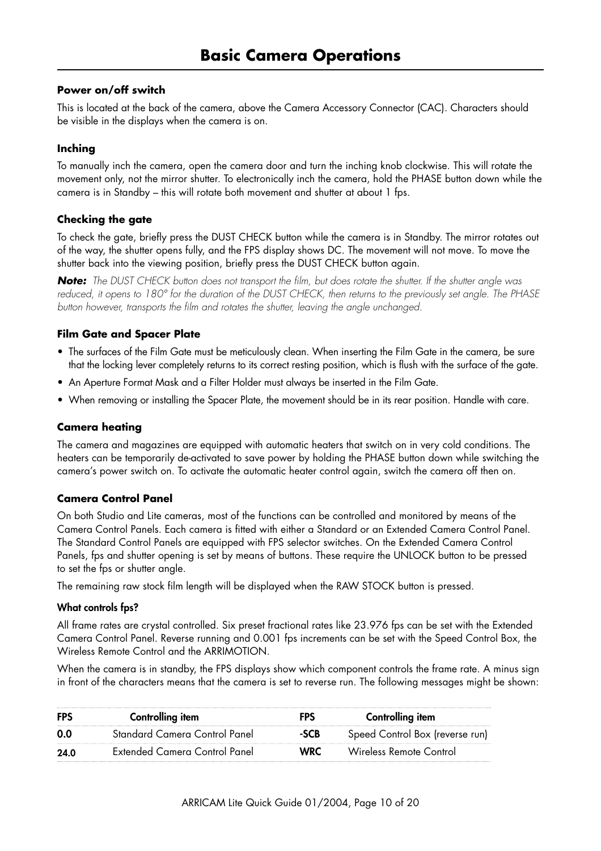### <span id="page-9-0"></span>**Power on/off switch**

This is located at the back of the camera, above the Camera Accessory Connector (CAC). Characters should be visible in the displays when the camera is on.

### **Inching**

To manually inch the camera, open the camera door and turn the inching knob clockwise. This will rotate the movement only, not the mirror shutter. To electronically inch the camera, hold the PHASE button down while the camera is in Standby – this will rotate both movement and shutter at about 1 fps.

### **Checking the gate**

To check the gate, briefly press the DUST CHECK button while the camera is in Standby. The mirror rotates out of the way, the shutter opens fully, and the FPS display shows DC. The movement will not move. To move the shutter back into the viewing position, briefly press the DUST CHECK button again.

**Note:** The DUST CHECK button does not transport the film, but does rotate the shutter. If the shutter angle was reduced, it opens to 180° for the duration of the DUST CHECK, then returns to the previously set angle. The PHASE button however, transports the film and rotates the shutter, leaving the angle unchanged.

### **Film Gate and Spacer Plate**

- The surfaces of the Film Gate must be meticulously clean. When inserting the Film Gate in the camera, be sure that the locking lever completely returns to its correct resting position, which is flush with the surface of the gate.
- An Aperture Format Mask and a Filter Holder must always be inserted in the Film Gate.
- When removing or installing the Spacer Plate, the movement should be in its rear position. Handle with care.

### **Camera heating**

The camera and magazines are equipped with automatic heaters that switch on in very cold conditions. The heaters can be temporarily de-activated to save power by holding the PHASE button down while switching the camera's power switch on. To activate the automatic heater control again, switch the camera off then on.

### **Camera Control Panel**

On both Studio and Lite cameras, most of the functions can be controlled and monitored by means of the Camera Control Panels. Each camera is fitted with either a Standard or an Extended Camera Control Panel. The Standard Control Panels are equipped with FPS selector switches. On the Extended Camera Control Panels, fps and shutter opening is set by means of buttons. These require the UNLOCK button to be pressed to set the fps or shutter angle.

The remaining raw stock film length will be displayed when the RAW STOCK button is pressed.

### **What controls fps?**

All frame rates are crystal controlled. Six preset fractional rates like 23.976 fps can be set with the Extended Camera Control Panel. Reverse running and 0.001 fps increments can be set with the Speed Control Box, the Wireless Remote Control and the ARRIMOTION.

When the camera is in standby, the FPS displays show which component controls the frame rate. A minus sign in front of the characters means that the camera is set to reverse run. The following messages might be shown:

| <b>FPS</b> | Controlling item              | Controlling item                |
|------------|-------------------------------|---------------------------------|
| n r        | Standard Camera Control Panel | Speed Control Box (reverse run) |
|            | Extended Camera Control Panel | Wireless Kemote Control.        |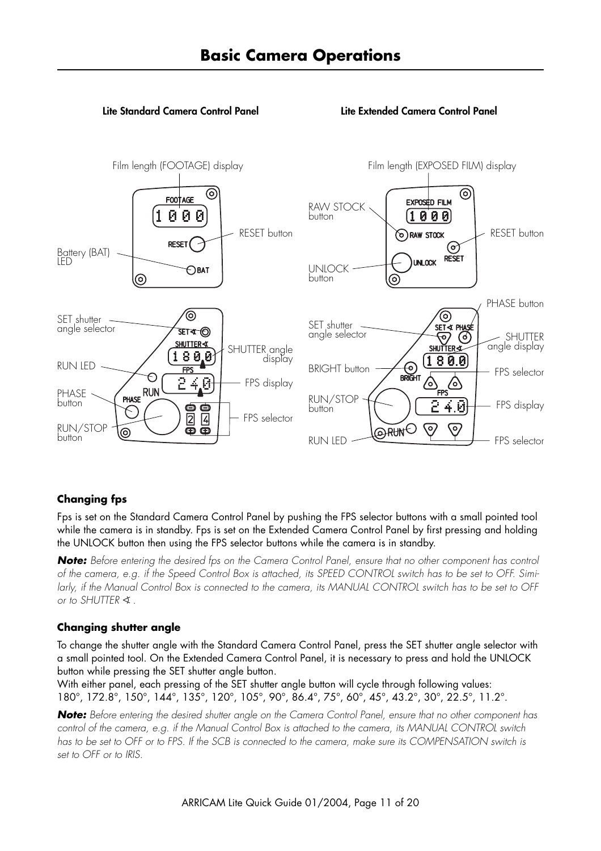

### **Lite Standard Camera Control Panel Lite Extended Camera Control Panel**

### **Changing fps**

Fps is set on the Standard Camera Control Panel by pushing the FPS selector buttons with a small pointed tool while the camera is in standby. Fps is set on the Extended Camera Control Panel by first pressing and holding the UNLOCK button then using the FPS selector buttons while the camera is in standby.

**Note:** Before entering the desired fps on the Camera Control Panel, ensure that no other component has control of the camera, e.g. if the Speed Control Box is attached, its SPEED CONTROL switch has to be set to OFF. Similarly, if the Manual Control Box is connected to the camera, its MANUAL CONTROL switch has to be set to OFF or to SHUTTER  $\triangleleft$ .

### **Changing shutter angle**

To change the shutter angle with the Standard Camera Control Panel, press the SET shutter angle selector with a small pointed tool. On the Extended Camera Control Panel, it is necessary to press and hold the UNLOCK button while pressing the SET shutter angle button.

With either panel, each pressing of the SET shutter angle button will cycle through following values: 180°, 172.8°, 150°, 144°, 135°, 120°, 105°, 90°, 86.4°, 75°, 60°, 45°, 43.2°, 30°, 22.5°, 11.2°.

**Note:** Before entering the desired shutter angle on the Camera Control Panel, ensure that no other component has control of the camera, e.g. if the Manual Control Box is attached to the camera, its MANUAL CONTROL switch has to be set to OFF or to FPS. If the SCB is connected to the camera, make sure its COMPENSATION switch is set to OFF or to IRIS.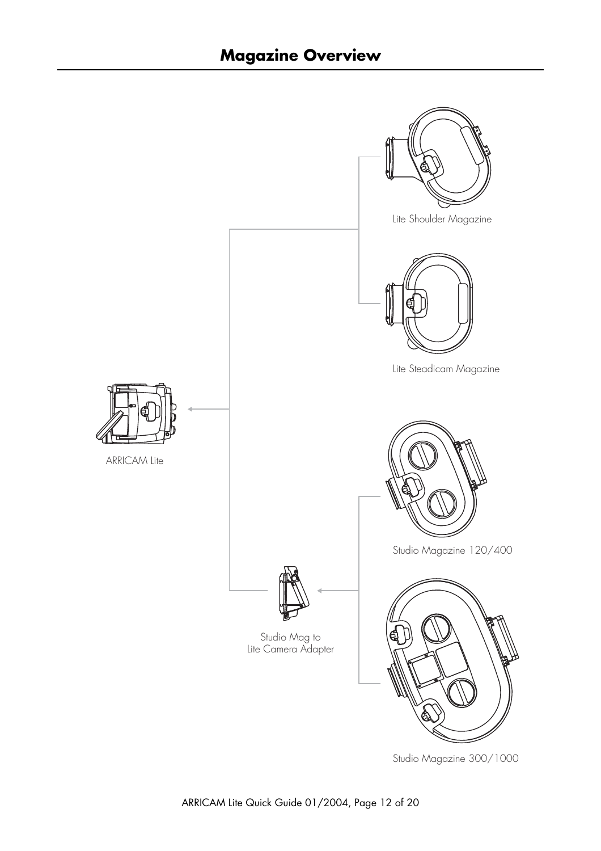<span id="page-11-0"></span>

Studio Magazine 300/1000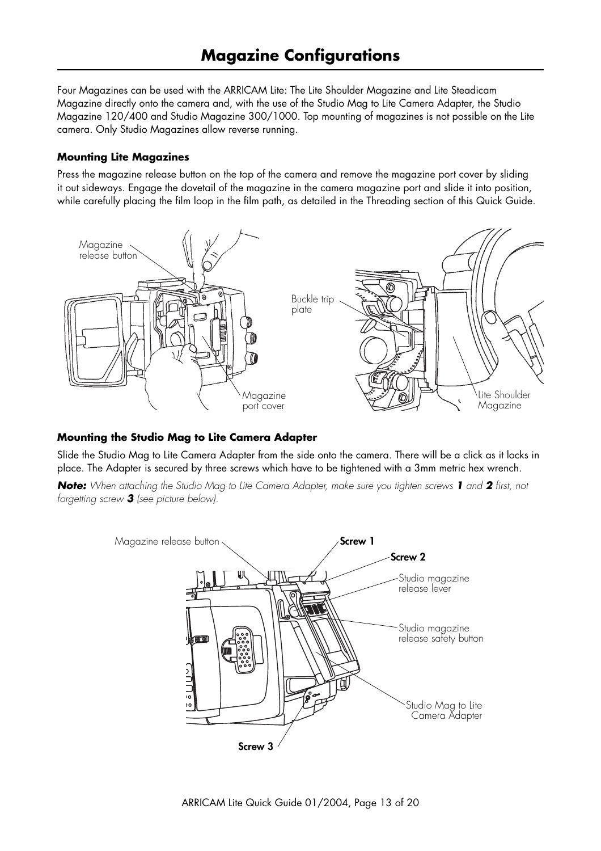<span id="page-12-0"></span>Four Magazines can be used with the ARRICAM Lite: The Lite Shoulder Magazine and Lite Steadicam Magazine directly onto the camera and, with the use of the Studio Mag to Lite Camera Adapter, the Studio Magazine 120/400 and Studio Magazine 300/1000. Top mounting of magazines is not possible on the Lite camera. Only Studio Magazines allow reverse running.

### **Mounting Lite Magazines**

Press the magazine release button on the top of the camera and remove the magazine port cover by sliding it out sideways. Engage the dovetail of the magazine in the camera magazine port and slide it into position, while carefully placing the film loop in the film path, as detailed in the Threading section of this Quick Guide.



### **Mounting the Studio Mag to Lite Camera Adapter**

Slide the Studio Mag to Lite Camera Adapter from the side onto the camera. There will be a click as it locks in place. The Adapter is secured by three screws which have to be tightened with a 3mm metric hex wrench.

**Note:** When attaching the Studio Mag to Lite Camera Adapter, make sure you tighten screws **1** and **2** first, not forgetting screw **3** (see picture below).

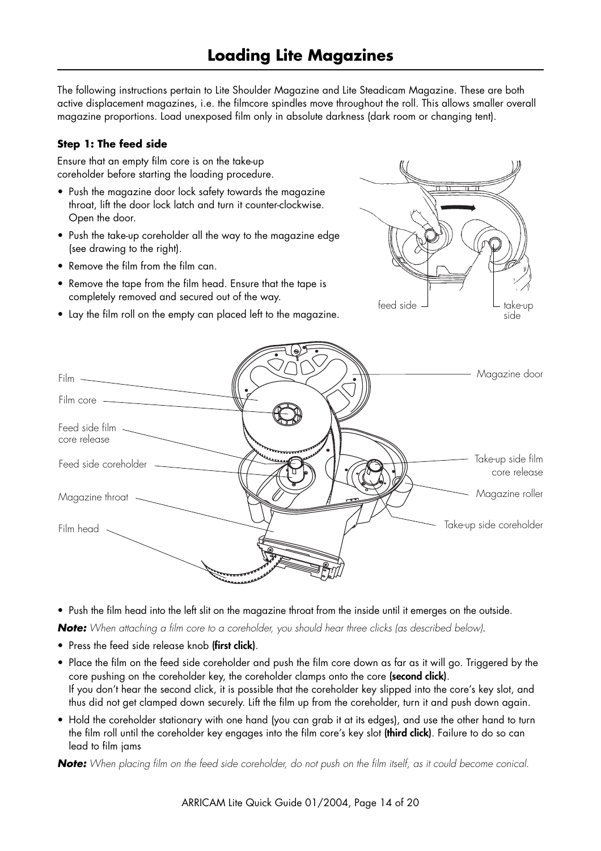<span id="page-13-0"></span>The following instructions pertain to Lite Shoulder Magazine and Lite Steadicam Magazine. These are both active displacement magazines, i.e. the filmcore spindles move throughout the roll. This allows smaller overall magazine proportions. Load unexposed film only in absolute darkness (dark room or changing tent).

### **Step 1: The feed side**

Ensure that an empty film core is on the take-up coreholder before starting the loading procedure.

- Push the magazine door lock safety towards the magazine throat, lift the door lock latch and turn it counter-clockwise. Open the door.
- Push the take-up coreholder all the way to the magazine edge (see drawing to the right).
- Remove the film from the film can.
- Remove the tape from the film head. Ensure that the tape is completely removed and secured out of the way.
- Lay the film roll on the empty can placed left to the magazine.





• Push the film head into the left slit on the magazine throat from the inside until it emerges on the outside.

**Note:** When attaching a film core to a coreholder, you should hear three clicks (as described below).

- Press the feed side release knob **(first click)**.
- Place the film on the feed side coreholder and push the film core down as far as it will go. Triggered by the core pushing on the coreholder key, the coreholder clamps onto the core **(second click)**. If you don't hear the second click, it is possible that the coreholder key slipped into the core's key slot, and thus did not get clamped down securely. Lift the film up from the coreholder, turn it and push down again.
- Hold the coreholder stationary with one hand (you can grab it at its edges), and use the other hand to turn the film roll until the coreholder key engages into the film core's key slot **(third click)**. Failure to do so can lead to film jams

**Note:** When placing film on the feed side coreholder, do not push on the film itself, as it could become conical.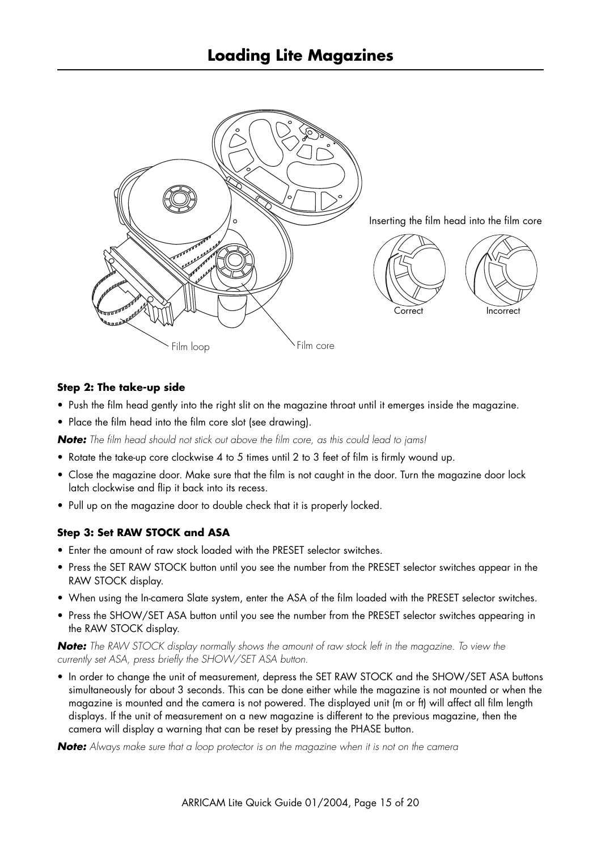

### **Step 2: The take-up side**

• Push the film head gently into the right slit on the magazine throat until it emerges inside the magazine.

• Place the film head into the film core slot (see drawing).

**Note:** The film head should not stick out above the film core, as this could lead to jams!

- Rotate the take-up core clockwise 4 to 5 times until 2 to 3 feet of film is firmly wound up.
- Close the magazine door. Make sure that the film is not caught in the door. Turn the magazine door lock latch clockwise and flip it back into its recess.
- Pull up on the magazine door to double check that it is properly locked.

### **Step 3: Set RAW STOCK and ASA**

- Enter the amount of raw stock loaded with the PRESET selector switches.
- Press the SET RAW STOCK button until you see the number from the PRESET selector switches appear in the RAW STOCK display.
- When using the In-camera Slate system, enter the ASA of the film loaded with the PRESET selector switches.
- Press the SHOW/SET ASA button until you see the number from the PRESET selector switches appearing in the RAW STOCK display.

**Note:** The RAW STOCK display normally shows the amount of raw stock left in the magazine. To view the currently set ASA, press briefly the SHOW/SET ASA button.

• In order to change the unit of measurement, depress the SET RAW STOCK and the SHOW/SET ASA buttons simultaneously for about 3 seconds. This can be done either while the magazine is not mounted or when the magazine is mounted and the camera is not powered. The displayed unit (m or ft) will affect all film length displays. If the unit of measurement on a new magazine is different to the previous magazine, then the camera will display a warning that can be reset by pressing the PHASE button.

**Note:** Always make sure that a loop protector is on the magazine when it is not on the camera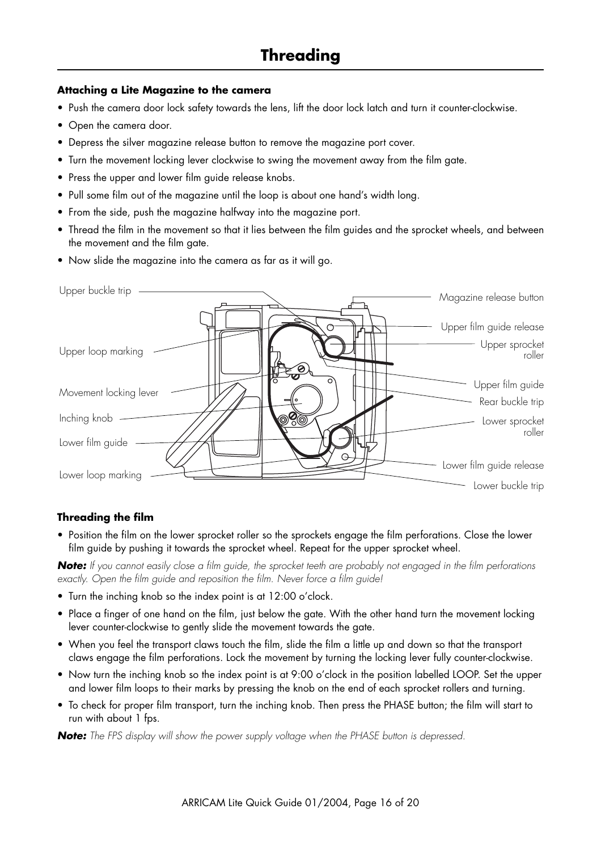### <span id="page-15-0"></span>**Attaching a Lite Magazine to the camera**

- Push the camera door lock safety towards the lens, lift the door lock latch and turn it counter-clockwise.
- Open the camera door.
- Depress the silver magazine release button to remove the magazine port cover.
- Turn the movement locking lever clockwise to swing the movement away from the film gate.
- Press the upper and lower film guide release knobs.
- Pull some film out of the magazine until the loop is about one hand's width long.
- From the side, push the magazine halfway into the magazine port.
- Thread the film in the movement so that it lies between the film guides and the sprocket wheels, and between the movement and the film gate.
- Now slide the magazine into the camera as far as it will go.



### **Threading the film**

• Position the film on the lower sprocket roller so the sprockets engage the film perforations. Close the lower film guide by pushing it towards the sprocket wheel. Repeat for the upper sprocket wheel.

**Note:** If you cannot easily close a film guide, the sprocket teeth are probably not engaged in the film perforations exactly. Open the film guide and reposition the film. Never force a film guide!

- Turn the inching knob so the index point is at 12:00 o'clock.
- Place a finger of one hand on the film, just below the gate. With the other hand turn the movement locking lever counter-clockwise to gently slide the movement towards the gate.
- When you feel the transport claws touch the film, slide the film a little up and down so that the transport claws engage the film perforations. Lock the movement by turning the locking lever fully counter-clockwise.
- Now turn the inching knob so the index point is at 9:00 o'clock in the position labelled LOOP. Set the upper and lower film loops to their marks by pressing the knob on the end of each sprocket rollers and turning.
- To check for proper film transport, turn the inching knob. Then press the PHASE button; the film will start to run with about 1 fps.

**Note:** The FPS display will show the power supply voltage when the PHASE button is depressed.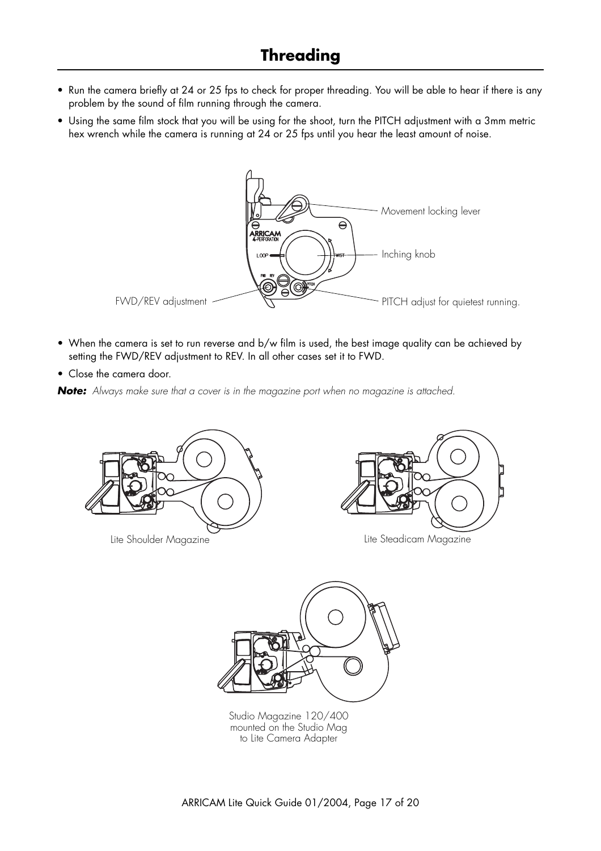- Run the camera briefly at 24 or 25 fps to check for proper threading. You will be able to hear if there is any problem by the sound of film running through the camera.
- Using the same film stock that you will be using for the shoot, turn the PITCH adjustment with a 3mm metric hex wrench while the camera is running at 24 or 25 fps until you hear the least amount of noise.



- When the camera is set to run reverse and b/w film is used, the best image quality can be achieved by setting the FWD/REV adjustment to REV. In all other cases set it to FWD.
- Close the camera door.

**Note:** Always make sure that a cover is in the magazine port when no magazine is attached.





Lite Shoulder Magazine Lite Steadicam Magazine



Studio Magazine 120/400 mounted on the Studio Mag to Lite Camera Adapter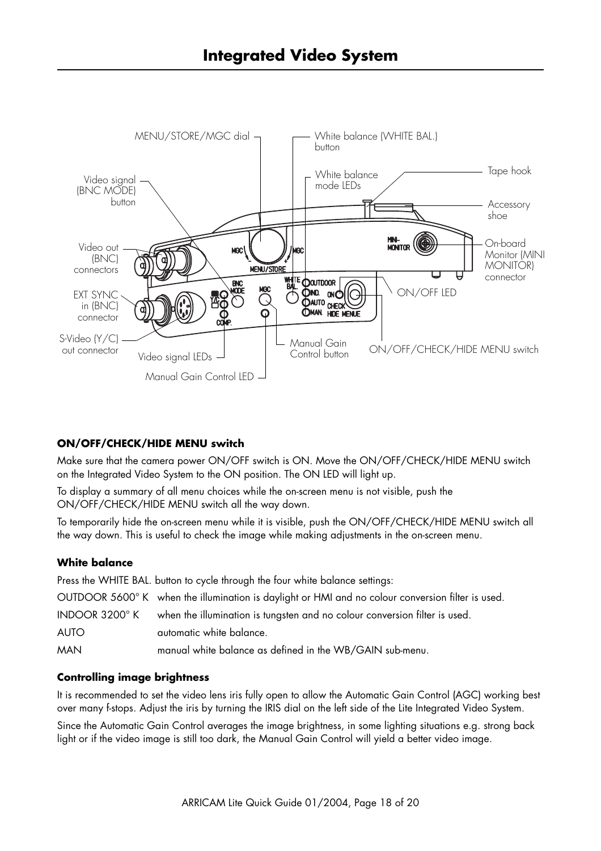<span id="page-17-0"></span>

### **ON/OFF/CHECK/HIDE MENU switch**

Make sure that the camera power ON/OFF switch is ON. Move the ON/OFF/CHECK/HIDE MENU switch on the Integrated Video System to the ON position. The ON LED will light up.

To display a summary of all menu choices while the on-screen menu is not visible, push the ON/OFF/CHECK/HIDE MENU switch all the way down.

To temporarily hide the on-screen menu while it is visible, push the ON/OFF/CHECK/HIDE MENU switch all the way down. This is useful to check the image while making adjustments in the on-screen menu.

### **White balance**

Press the WHITE BAL. button to cycle through the four white balance settings:

|                       | OUTDOOR 5600°K when the illumination is daylight or HMI and no colour conversion filter is used. |
|-----------------------|--------------------------------------------------------------------------------------------------|
| INDOOR $3200^\circ$ K | when the illumination is tungsten and no colour conversion filter is used.                       |
| <b>AUTO</b>           | automatic white balance.                                                                         |
| <b>MAN</b>            | manual white balance as defined in the WB/GAIN sub-menu.                                         |

### **Controlling image brightness**

It is recommended to set the video lens iris fully open to allow the Automatic Gain Control (AGC) working best over many f-stops. Adjust the iris by turning the IRIS dial on the left side of the Lite Integrated Video System.

Since the Automatic Gain Control averages the image brightness, in some lighting situations e.g. strong back light or if the video image is still too dark, the Manual Gain Control will yield a better video image.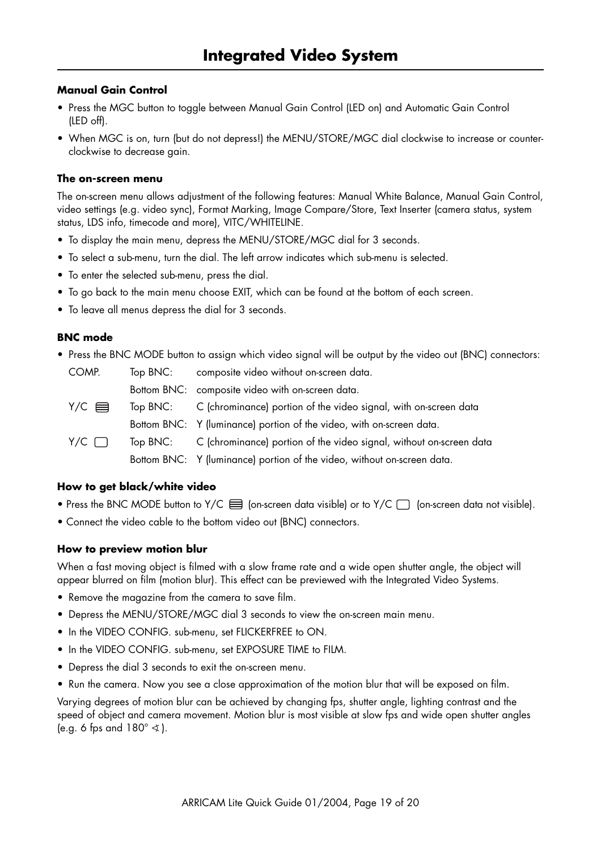### **Manual Gain Control**

- Press the MGC button to toggle between Manual Gain Control (LED on) and Automatic Gain Control (LED off).
- When MGC is on, turn (but do not depress!) the MENU/STORE/MGC dial clockwise to increase or counterclockwise to decrease gain.

### **The on-screen menu**

The on-screen menu allows adjustment of the following features: Manual White Balance, Manual Gain Control, video settings (e.g. video sync), Format Marking, Image Compare/Store, Text Inserter (camera status, system status, LDS info, timecode and more), VITC/WHITELINE.

- To display the main menu, depress the MENU/STORE/MGC dial for 3 seconds.
- To select a sub-menu, turn the dial. The left arrow indicates which sub-menu is selected.
- To enter the selected sub-menu, press the dial.
- To go back to the main menu choose EXIT, which can be found at the bottom of each screen.
- To leave all menus depress the dial for 3 seconds.

### **BNC mode**

• Press the BNC MODE button to assign which video signal will be output by the video out (BNC) connectors:

| COMP.         | Top BNC: | composite video without on-screen data.                                      |
|---------------|----------|------------------------------------------------------------------------------|
|               |          | Bottom BNC: composite video with on-screen data.                             |
| $Y/C \equiv$  |          | Top BNC: C (chrominance) portion of the video signal, with on-screen data    |
|               |          | Bottom BNC: Y (luminance) portion of the video, with on-screen data.         |
| $Y/C \square$ |          | Top BNC: C (chrominance) portion of the video signal, without on-screen data |
|               |          | Bottom BNC: Y (luminance) portion of the video, without on-screen data.      |

### **How to get black/white video**

- Press the BNC MODE button to Y/C  $\equiv$  (on-screen data visible) or to Y/C  $\Box$  (on-screen data not visible).
- Connect the video cable to the bottom video out (BNC) connectors.

### **How to preview motion blur**

When a fast moving object is filmed with a slow frame rate and a wide open shutter angle, the object will appear blurred on film (motion blur). This effect can be previewed with the Integrated Video Systems.

- Remove the magazine from the camera to save film.
- Depress the MENU/STORE/MGC dial 3 seconds to view the on-screen main menu.
- In the VIDEO CONFIG. sub-menu, set FLICKERFREE to ON.
- In the VIDEO CONFIG. sub-menu, set EXPOSURE TIME to FILM.
- Depress the dial 3 seconds to exit the on-screen menu.
- Run the camera. Now you see a close approximation of the motion blur that will be exposed on film.

Varying degrees of motion blur can be achieved by changing fps, shutter angle, lighting contrast and the speed of object and camera movement. Motion blur is most visible at slow fps and wide open shutter angles (e.g. 6 fps and  $180^\circ \leq 1$ ).